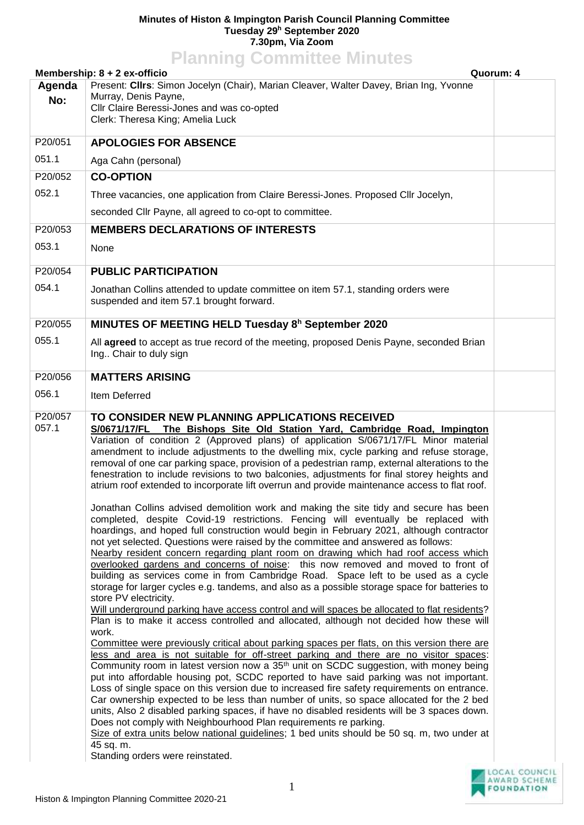## **Minutes of Histon & Impington Parish Council Planning Committee Tuesday 29<sup>h</sup> September 2020 7.30pm, Via Zoom Planning Committee Minutes**

| <b>FIGHTING CONTINUES MINUTES</b><br>Membership: 8 + 2 ex-officio<br>Quorum: 4 |                                                                                                                                                                                                                                                                                                                                                                                                                                                                                                                                                                                                                                                                                                                                                                                                                                                                                                                                                                                                                                                                                                                                                                                                                                                                                                                                                                                                                                                                                                                                                                                                                                                                                                                                                                                                                                                                                                                                                                                                                                                                                                                                                                                                                                                                                                                                                                                                                                                                                          |  |  |  |
|--------------------------------------------------------------------------------|------------------------------------------------------------------------------------------------------------------------------------------------------------------------------------------------------------------------------------------------------------------------------------------------------------------------------------------------------------------------------------------------------------------------------------------------------------------------------------------------------------------------------------------------------------------------------------------------------------------------------------------------------------------------------------------------------------------------------------------------------------------------------------------------------------------------------------------------------------------------------------------------------------------------------------------------------------------------------------------------------------------------------------------------------------------------------------------------------------------------------------------------------------------------------------------------------------------------------------------------------------------------------------------------------------------------------------------------------------------------------------------------------------------------------------------------------------------------------------------------------------------------------------------------------------------------------------------------------------------------------------------------------------------------------------------------------------------------------------------------------------------------------------------------------------------------------------------------------------------------------------------------------------------------------------------------------------------------------------------------------------------------------------------------------------------------------------------------------------------------------------------------------------------------------------------------------------------------------------------------------------------------------------------------------------------------------------------------------------------------------------------------------------------------------------------------------------------------------------------|--|--|--|
| Agenda<br>No:                                                                  | Present: Cllrs: Simon Jocelyn (Chair), Marian Cleaver, Walter Davey, Brian Ing, Yvonne<br>Murray, Denis Payne,<br>Cllr Claire Beressi-Jones and was co-opted<br>Clerk: Theresa King; Amelia Luck                                                                                                                                                                                                                                                                                                                                                                                                                                                                                                                                                                                                                                                                                                                                                                                                                                                                                                                                                                                                                                                                                                                                                                                                                                                                                                                                                                                                                                                                                                                                                                                                                                                                                                                                                                                                                                                                                                                                                                                                                                                                                                                                                                                                                                                                                         |  |  |  |
| P20/051                                                                        | <b>APOLOGIES FOR ABSENCE</b>                                                                                                                                                                                                                                                                                                                                                                                                                                                                                                                                                                                                                                                                                                                                                                                                                                                                                                                                                                                                                                                                                                                                                                                                                                                                                                                                                                                                                                                                                                                                                                                                                                                                                                                                                                                                                                                                                                                                                                                                                                                                                                                                                                                                                                                                                                                                                                                                                                                             |  |  |  |
| 051.1                                                                          | Aga Cahn (personal)                                                                                                                                                                                                                                                                                                                                                                                                                                                                                                                                                                                                                                                                                                                                                                                                                                                                                                                                                                                                                                                                                                                                                                                                                                                                                                                                                                                                                                                                                                                                                                                                                                                                                                                                                                                                                                                                                                                                                                                                                                                                                                                                                                                                                                                                                                                                                                                                                                                                      |  |  |  |
| P20/052                                                                        | <b>CO-OPTION</b>                                                                                                                                                                                                                                                                                                                                                                                                                                                                                                                                                                                                                                                                                                                                                                                                                                                                                                                                                                                                                                                                                                                                                                                                                                                                                                                                                                                                                                                                                                                                                                                                                                                                                                                                                                                                                                                                                                                                                                                                                                                                                                                                                                                                                                                                                                                                                                                                                                                                         |  |  |  |
| 052.1                                                                          | Three vacancies, one application from Claire Beressi-Jones. Proposed Cllr Jocelyn,                                                                                                                                                                                                                                                                                                                                                                                                                                                                                                                                                                                                                                                                                                                                                                                                                                                                                                                                                                                                                                                                                                                                                                                                                                                                                                                                                                                                                                                                                                                                                                                                                                                                                                                                                                                                                                                                                                                                                                                                                                                                                                                                                                                                                                                                                                                                                                                                       |  |  |  |
|                                                                                | seconded Cllr Payne, all agreed to co-opt to committee.                                                                                                                                                                                                                                                                                                                                                                                                                                                                                                                                                                                                                                                                                                                                                                                                                                                                                                                                                                                                                                                                                                                                                                                                                                                                                                                                                                                                                                                                                                                                                                                                                                                                                                                                                                                                                                                                                                                                                                                                                                                                                                                                                                                                                                                                                                                                                                                                                                  |  |  |  |
| P20/053                                                                        | <b>MEMBERS DECLARATIONS OF INTERESTS</b>                                                                                                                                                                                                                                                                                                                                                                                                                                                                                                                                                                                                                                                                                                                                                                                                                                                                                                                                                                                                                                                                                                                                                                                                                                                                                                                                                                                                                                                                                                                                                                                                                                                                                                                                                                                                                                                                                                                                                                                                                                                                                                                                                                                                                                                                                                                                                                                                                                                 |  |  |  |
| 053.1                                                                          | None                                                                                                                                                                                                                                                                                                                                                                                                                                                                                                                                                                                                                                                                                                                                                                                                                                                                                                                                                                                                                                                                                                                                                                                                                                                                                                                                                                                                                                                                                                                                                                                                                                                                                                                                                                                                                                                                                                                                                                                                                                                                                                                                                                                                                                                                                                                                                                                                                                                                                     |  |  |  |
| P20/054                                                                        | <b>PUBLIC PARTICIPATION</b>                                                                                                                                                                                                                                                                                                                                                                                                                                                                                                                                                                                                                                                                                                                                                                                                                                                                                                                                                                                                                                                                                                                                                                                                                                                                                                                                                                                                                                                                                                                                                                                                                                                                                                                                                                                                                                                                                                                                                                                                                                                                                                                                                                                                                                                                                                                                                                                                                                                              |  |  |  |
| 054.1                                                                          | Jonathan Collins attended to update committee on item 57.1, standing orders were<br>suspended and item 57.1 brought forward.                                                                                                                                                                                                                                                                                                                                                                                                                                                                                                                                                                                                                                                                                                                                                                                                                                                                                                                                                                                                                                                                                                                                                                                                                                                                                                                                                                                                                                                                                                                                                                                                                                                                                                                                                                                                                                                                                                                                                                                                                                                                                                                                                                                                                                                                                                                                                             |  |  |  |
| P20/055                                                                        | MINUTES OF MEETING HELD Tuesday 8 <sup>h</sup> September 2020                                                                                                                                                                                                                                                                                                                                                                                                                                                                                                                                                                                                                                                                                                                                                                                                                                                                                                                                                                                                                                                                                                                                                                                                                                                                                                                                                                                                                                                                                                                                                                                                                                                                                                                                                                                                                                                                                                                                                                                                                                                                                                                                                                                                                                                                                                                                                                                                                            |  |  |  |
| 055.1                                                                          | All agreed to accept as true record of the meeting, proposed Denis Payne, seconded Brian<br>Ing Chair to duly sign                                                                                                                                                                                                                                                                                                                                                                                                                                                                                                                                                                                                                                                                                                                                                                                                                                                                                                                                                                                                                                                                                                                                                                                                                                                                                                                                                                                                                                                                                                                                                                                                                                                                                                                                                                                                                                                                                                                                                                                                                                                                                                                                                                                                                                                                                                                                                                       |  |  |  |
| P20/056                                                                        | <b>MATTERS ARISING</b>                                                                                                                                                                                                                                                                                                                                                                                                                                                                                                                                                                                                                                                                                                                                                                                                                                                                                                                                                                                                                                                                                                                                                                                                                                                                                                                                                                                                                                                                                                                                                                                                                                                                                                                                                                                                                                                                                                                                                                                                                                                                                                                                                                                                                                                                                                                                                                                                                                                                   |  |  |  |
| 056.1                                                                          | Item Deferred                                                                                                                                                                                                                                                                                                                                                                                                                                                                                                                                                                                                                                                                                                                                                                                                                                                                                                                                                                                                                                                                                                                                                                                                                                                                                                                                                                                                                                                                                                                                                                                                                                                                                                                                                                                                                                                                                                                                                                                                                                                                                                                                                                                                                                                                                                                                                                                                                                                                            |  |  |  |
| P20/057<br>057.1                                                               | TO CONSIDER NEW PLANNING APPLICATIONS RECEIVED<br>S/0671/17/FL<br>The Bishops Site Old Station Yard, Cambridge Road, Impington<br>Variation of condition 2 (Approved plans) of application S/0671/17/FL Minor material<br>amendment to include adjustments to the dwelling mix, cycle parking and refuse storage,<br>removal of one car parking space, provision of a pedestrian ramp, external alterations to the<br>fenestration to include revisions to two balconies, adjustments for final storey heights and<br>atrium roof extended to incorporate lift overrun and provide maintenance access to flat roof.<br>Jonathan Collins advised demolition work and making the site tidy and secure has been<br>completed, despite Covid-19 restrictions. Fencing will eventually be replaced with<br>hoardings, and hoped full construction would begin in February 2021, although contractor<br>not yet selected. Questions were raised by the committee and answered as follows:<br>Nearby resident concern regarding plant room on drawing which had roof access which<br>overlooked gardens and concerns of noise: this now removed and moved to front of<br>building as services come in from Cambridge Road. Space left to be used as a cycle<br>storage for larger cycles e.g. tandems, and also as a possible storage space for batteries to<br>store PV electricity.<br>Will underground parking have access control and will spaces be allocated to flat residents?<br>Plan is to make it access controlled and allocated, although not decided how these will<br>work.<br>Committee were previously critical about parking spaces per flats, on this version there are<br>less and area is not suitable for off-street parking and there are no visitor spaces:<br>Community room in latest version now a 35 <sup>th</sup> unit on SCDC suggestion, with money being<br>put into affordable housing pot, SCDC reported to have said parking was not important.<br>Loss of single space on this version due to increased fire safety requirements on entrance.<br>Car ownership expected to be less than number of units, so space allocated for the 2 bed<br>units, Also 2 disabled parking spaces, if have no disabled residents will be 3 spaces down.<br>Does not comply with Neighbourhood Plan requirements re parking.<br>Size of extra units below national guidelines; 1 bed units should be 50 sq. m, two under at<br>45 sq. m.<br>Standing orders were reinstated. |  |  |  |

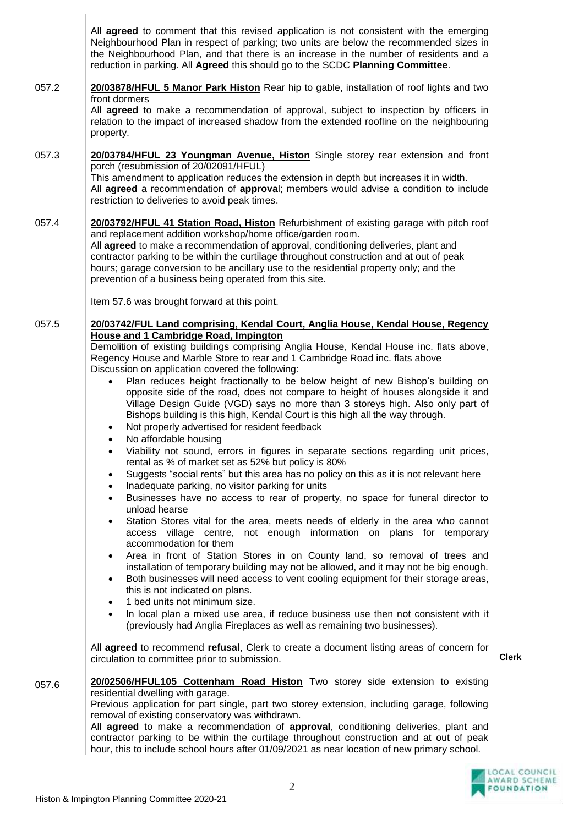|       | All agreed to comment that this revised application is not consistent with the emerging<br>Neighbourhood Plan in respect of parking; two units are below the recommended sizes in<br>the Neighbourhood Plan, and that there is an increase in the number of residents and a<br>reduction in parking. All Agreed this should go to the SCDC Planning Committee.                                                                                                                                                                                                                                                                                                                                                                                                                                                                                                                                                                                                                                                                                                                                                                                                                                                                                                                                                                                                                                                                                                                                                                                                                                                                                                                                                                                                                                                                                                                                                                                                                                                                                                                                                                                             |              |
|-------|------------------------------------------------------------------------------------------------------------------------------------------------------------------------------------------------------------------------------------------------------------------------------------------------------------------------------------------------------------------------------------------------------------------------------------------------------------------------------------------------------------------------------------------------------------------------------------------------------------------------------------------------------------------------------------------------------------------------------------------------------------------------------------------------------------------------------------------------------------------------------------------------------------------------------------------------------------------------------------------------------------------------------------------------------------------------------------------------------------------------------------------------------------------------------------------------------------------------------------------------------------------------------------------------------------------------------------------------------------------------------------------------------------------------------------------------------------------------------------------------------------------------------------------------------------------------------------------------------------------------------------------------------------------------------------------------------------------------------------------------------------------------------------------------------------------------------------------------------------------------------------------------------------------------------------------------------------------------------------------------------------------------------------------------------------------------------------------------------------------------------------------------------------|--------------|
| 057.2 | 20/03878/HFUL 5 Manor Park Histon Rear hip to gable, installation of roof lights and two<br>front dormers<br>All agreed to make a recommendation of approval, subject to inspection by officers in<br>relation to the impact of increased shadow from the extended roofline on the neighbouring<br>property.                                                                                                                                                                                                                                                                                                                                                                                                                                                                                                                                                                                                                                                                                                                                                                                                                                                                                                                                                                                                                                                                                                                                                                                                                                                                                                                                                                                                                                                                                                                                                                                                                                                                                                                                                                                                                                               |              |
| 057.3 | 20/03784/HFUL 23 Youngman Avenue, Histon Single storey rear extension and front<br>porch (resubmission of 20/02091/HFUL)<br>This amendment to application reduces the extension in depth but increases it in width.<br>All agreed a recommendation of approval; members would advise a condition to include<br>restriction to deliveries to avoid peak times.                                                                                                                                                                                                                                                                                                                                                                                                                                                                                                                                                                                                                                                                                                                                                                                                                                                                                                                                                                                                                                                                                                                                                                                                                                                                                                                                                                                                                                                                                                                                                                                                                                                                                                                                                                                              |              |
| 057.4 | 20/03792/HFUL 41 Station Road, Histon Refurbishment of existing garage with pitch roof<br>and replacement addition workshop/home office/garden room.<br>All agreed to make a recommendation of approval, conditioning deliveries, plant and<br>contractor parking to be within the curtilage throughout construction and at out of peak<br>hours; garage conversion to be ancillary use to the residential property only; and the<br>prevention of a business being operated from this site.<br>Item 57.6 was brought forward at this point.                                                                                                                                                                                                                                                                                                                                                                                                                                                                                                                                                                                                                                                                                                                                                                                                                                                                                                                                                                                                                                                                                                                                                                                                                                                                                                                                                                                                                                                                                                                                                                                                               |              |
| 057.5 | 20/03742/FUL Land comprising, Kendal Court, Anglia House, Kendal House, Regency<br><b>House and 1 Cambridge Road, Impington</b><br>Demolition of existing buildings comprising Anglia House, Kendal House inc. flats above,<br>Regency House and Marble Store to rear and 1 Cambridge Road inc. flats above<br>Discussion on application covered the following:<br>Plan reduces height fractionally to be below height of new Bishop's building on<br>$\bullet$<br>opposite side of the road, does not compare to height of houses alongside it and<br>Village Design Guide (VGD) says no more than 3 storeys high. Also only part of<br>Bishops building is this high, Kendal Court is this high all the way through.<br>Not properly advertised for resident feedback<br>$\bullet$<br>No affordable housing<br>$\bullet$<br>Viability not sound, errors in figures in separate sections regarding unit prices,<br>$\bullet$<br>rental as % of market set as 52% but policy is 80%<br>Suggests "social rents" but this area has no policy on this as it is not relevant here<br>$\bullet$<br>Inadequate parking, no visitor parking for units<br>$\bullet$<br>Businesses have no access to rear of property, no space for funeral director to<br>$\bullet$<br>unload hearse<br>Station Stores vital for the area, meets needs of elderly in the area who cannot<br>$\bullet$<br>access village centre, not enough information on plans for temporary<br>accommodation for them<br>Area in front of Station Stores in on County land, so removal of trees and<br>٠<br>installation of temporary building may not be allowed, and it may not be big enough.<br>Both businesses will need access to vent cooling equipment for their storage areas,<br>٠<br>this is not indicated on plans.<br>1 bed units not minimum size.<br>٠<br>In local plan a mixed use area, if reduce business use then not consistent with it<br>$\bullet$<br>(previously had Anglia Fireplaces as well as remaining two businesses).<br>All agreed to recommend refusal, Clerk to create a document listing areas of concern for<br>circulation to committee prior to submission. | <b>Clerk</b> |
| 057.6 | 20/02506/HFUL105 Cottenham Road Histon Two storey side extension to existing<br>residential dwelling with garage.<br>Previous application for part single, part two storey extension, including garage, following<br>removal of existing conservatory was withdrawn.<br>All agreed to make a recommendation of approval, conditioning deliveries, plant and<br>contractor parking to be within the curtilage throughout construction and at out of peak<br>hour, this to include school hours after 01/09/2021 as near location of new primary school.                                                                                                                                                                                                                                                                                                                                                                                                                                                                                                                                                                                                                                                                                                                                                                                                                                                                                                                                                                                                                                                                                                                                                                                                                                                                                                                                                                                                                                                                                                                                                                                                     |              |



Î.